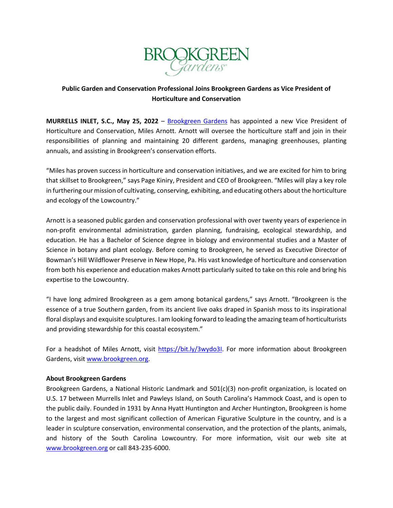

## **Public Garden and Conservation Professional Joins Brookgreen Gardens as Vice President of Horticulture and Conservation**

**MURRELLS INLET, S.C., May 25, 2022** – [Brookgreen Gardens](https://www.brookgreen.org/) has appointed a new Vice President of Horticulture and Conservation, Miles Arnott. Arnott will oversee the horticulture staff and join in their responsibilities of planning and maintaining 20 different gardens, managing greenhouses, planting annuals, and assisting in Brookgreen's conservation efforts.

"Miles has proven success in horticulture and conservation initiatives, and we are excited for him to bring that skillset to Brookgreen," says Page Kiniry, President and CEO of Brookgreen. "Miles will play a key role in furthering our mission of cultivating, conserving, exhibiting, and educating others about the horticulture and ecology of the Lowcountry."

Arnott is a seasoned public garden and conservation professional with over twenty years of experience in non-profit environmental administration, garden planning, fundraising, ecological stewardship, and education. He has a Bachelor of Science degree in biology and environmental studies and a Master of Science in botany and plant ecology. Before coming to Brookgreen, he served as Executive Director of Bowman's Hill Wildflower Preserve in New Hope, Pa. His vast knowledge of horticulture and conservation from both his experience and education makes Arnott particularly suited to take on this role and bring his expertise to the Lowcountry.

"I have long admired Brookgreen as a gem among botanical gardens," says Arnott. "Brookgreen is the essence of a true Southern garden, from its ancient live oaks draped in Spanish moss to its inspirational floral displays and exquisite sculptures. I am looking forward to leading the amazing team of horticulturists and providing stewardship for this coastal ecosystem."

For a headshot of Miles Arnott, visit [https://bit.ly/3wydo3I.](https://bit.ly/3wydo3I) For more information about Brookgreen Gardens, visit [www.brookgreen.org.](https://www.brookgreen.org/)

## **About Brookgreen Gardens**

Brookgreen Gardens, a National Historic Landmark and 501(c)(3) non-profit organization, is located on U.S. 17 between Murrells Inlet and Pawleys Island, on South Carolina's Hammock Coast, and is open to the public daily. Founded in 1931 by Anna Hyatt Huntington and Archer Huntington, Brookgreen is home to the largest and most significant collection of American Figurative Sculpture in the country, and is a leader in sculpture conservation, environmental conservation, and the protection of the plants, animals, and history of the South Carolina Lowcountry. For more information, visit our web site at www.brookgreen.org or call 843-235-6000.